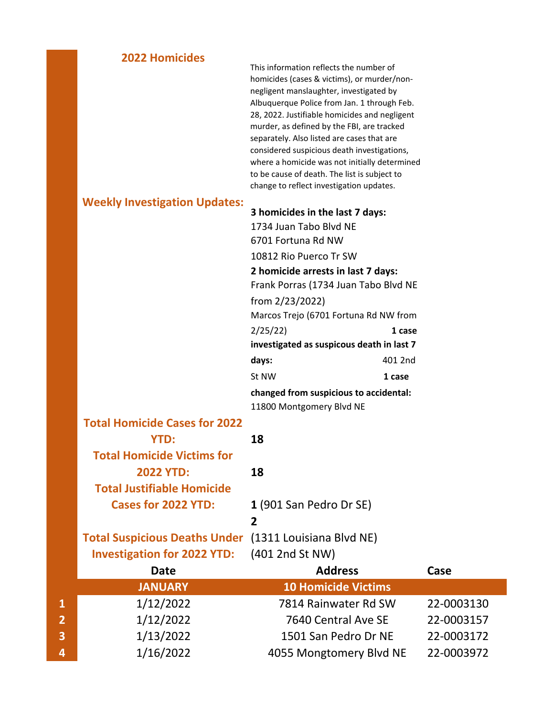## **2022 Homicides**

This information reflects the number of homicides (cases & victims), or murder/nonnegligent manslaughter, investigated by Albuquerque Police from Jan. 1 through Feb. 28, 2022. Justifiable homicides and negligent murder, as defined by the FBI, are tracked separately. Also listed are cases that are considered suspicious death investigations, where a homicide was not initially determined to be cause of death. The list is subject to change to reflect investigation updates.

## **Weekly Investigation Updates:**

|                | <b>Weekly Investigation Updates:</b>                   |                                           |            |
|----------------|--------------------------------------------------------|-------------------------------------------|------------|
|                |                                                        | 3 homicides in the last 7 days:           |            |
|                |                                                        | 1734 Juan Tabo Blvd NE                    |            |
|                |                                                        | 6701 Fortuna Rd NW                        |            |
|                |                                                        | 10812 Rio Puerco Tr SW                    |            |
|                |                                                        | 2 homicide arrests in last 7 days:        |            |
|                |                                                        | Frank Porras (1734 Juan Tabo Blvd NE      |            |
|                |                                                        | from 2/23/2022)                           |            |
|                |                                                        | Marcos Trejo (6701 Fortuna Rd NW from     |            |
|                |                                                        | 2/25/22<br>1 case                         |            |
|                |                                                        | investigated as suspicous death in last 7 |            |
|                |                                                        | days:<br>401 2nd                          |            |
|                |                                                        | St NW<br>1 case                           |            |
|                |                                                        | changed from suspicious to accidental:    |            |
|                |                                                        | 11800 Montgomery Blvd NE                  |            |
|                | <b>Total Homicide Cases for 2022</b>                   |                                           |            |
|                | <b>YTD:</b>                                            | 18                                        |            |
|                | <b>Total Homicide Victims for</b>                      |                                           |            |
|                | <b>2022 YTD:</b>                                       | 18                                        |            |
|                | <b>Total Justifiable Homicide</b>                      |                                           |            |
|                | <b>Cases for 2022 YTD:</b>                             | 1 (901 San Pedro Dr SE)                   |            |
|                |                                                        | $\overline{2}$                            |            |
|                | Total Suspicious Deaths Under (1311 Louisiana Blvd NE) |                                           |            |
|                | <b>Investigation for 2022 YTD:</b>                     | (401 2nd St NW)                           |            |
|                | <b>Date</b>                                            | <b>Address</b>                            | Case       |
|                | <b>JANUARY</b>                                         | <b>10 Homicide Victims</b>                |            |
| $\mathbf{1}$   | 1/12/2022                                              | 7814 Rainwater Rd SW                      | 22-0003130 |
| $\overline{2}$ | 1/12/2022                                              | 7640 Central Ave SE                       | 22-0003157 |
| 3              | 1/13/2022                                              | 1501 San Pedro Dr NE                      | 22-0003172 |
| 4              | 1/16/2022                                              | 4055 Mongtomery Blvd NE                   | 22-0003972 |
|                |                                                        |                                           |            |